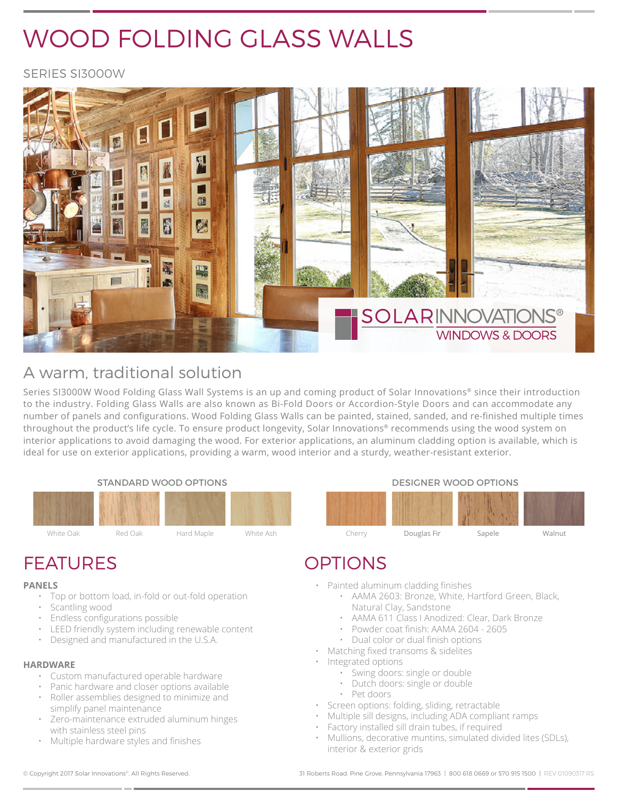# WOOD FOLDING GLASS WALLS

SERIES SI3000W



# A warm, traditional solution

Series SI3000W Wood Folding Glass Wall Systems is an up and coming product of Solar Innovations® since their introduction to the industry. Folding Glass Walls are also known as Bi-Fold Doors or Accordion-Style Doors and can accommodate any number of panels and configurations. Wood Folding Glass Walls can be painted, stained, sanded, and re-finished multiple times throughout the product's life cycle. To ensure product longevity, Solar Innovations® recommends using the wood system on interior applications to avoid damaging the wood. For exterior applications, an aluminum cladding option is available, which is ideal for use on exterior applications, providing a warm, wood interior and a sturdy, weather-resistant exterior.

STANDARD WOOD OPTIONS **EXAMPLE 20 YOU CONTROL** DESIGNER WOOD OPTIONS





- Painted aluminum cladding finishes
	- AAMA 2603: Bronze, White, Hartford Green, Black, Natural Clay, Sandstone
	- AAMA 611 Class I Anodized: Clear, Dark Bronze
	- Powder coat finish: AAMA 2604 2605
	- Dual color or dual finish options
- Matching fixed transoms & sidelites
- Integrated options
	- Swing doors: single or double
	- Dutch doors: single or double
	- Pet doors
- Screen options: folding, sliding, retractable
- Multiple sill designs, including ADA compliant ramps
- Factory installed sill drain tubes, if required
- Mullions, decorative muntins, simulated divided lites (SDLs), interior & exterior grids

# FEATURES OPTIONS

#### **PANELS**

- Top or bottom load, in-fold or out-fold operation
- Scantling wood
- Endless configurations possible
- LEED friendly system including renewable content
- Designed and manufactured in the U.S.A.

#### **HARDWARE**

- Custom manufactured operable hardware
- Panic hardware and closer options available • Roller assemblies designed to minimize and simplify panel maintenance
- Zero-maintenance extruded aluminum hinges with stainless steel pins
- Multiple hardware styles and finishes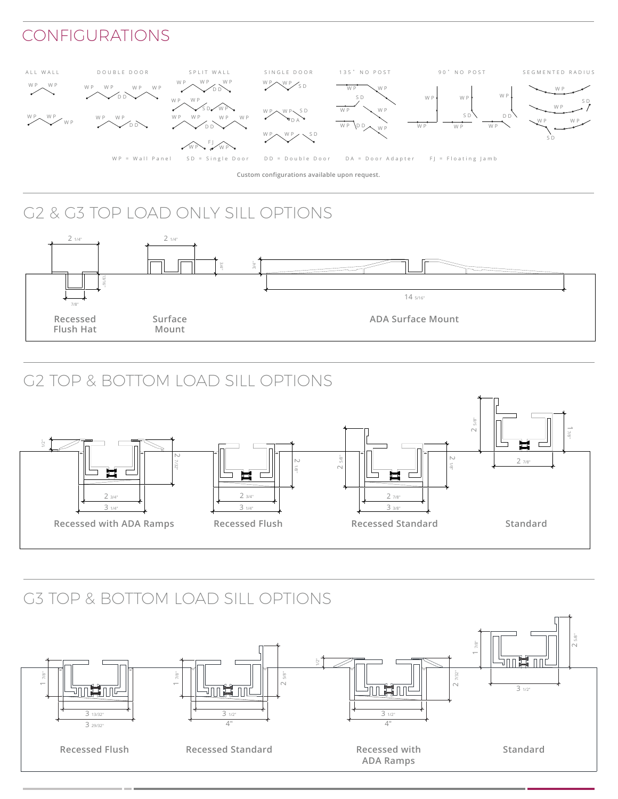## CONFIGURATIONS



**Custom configurations available upon request.**

# G2 & G3 TOP LOAD ONLY SILL OPTIONS



# G2 TOP & BOTTOM LOAD SILL OPTIONS



# G3 TOP & BOTTOM LOAD SILL OPTIONS

Water: 12.0psf

Water:



Water:

Water: 12.0psf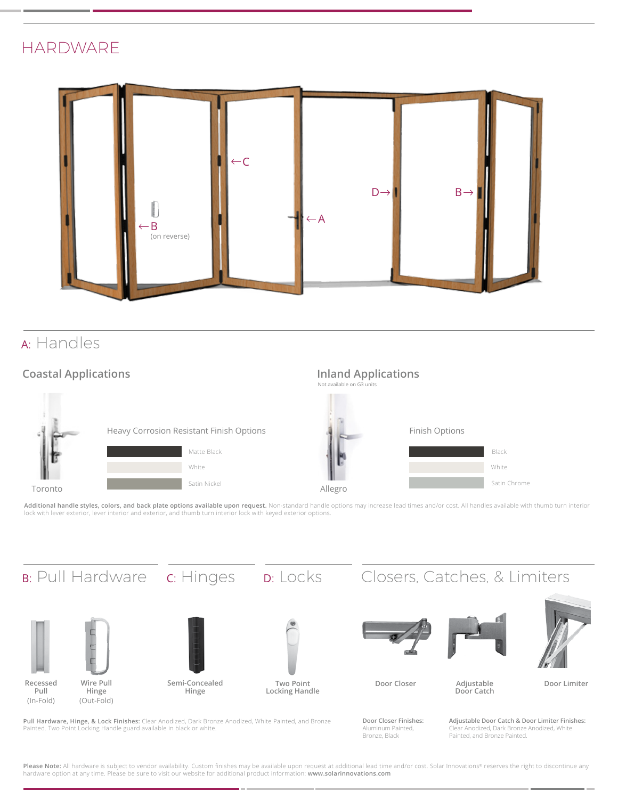### **HARDWARE**



## <sup>A</sup>: Handles

### **Coastal Applications**



Additional handle styles, colors, and back plate options available upon request. Non-standard handle options may increase lead times and/or cost. All handles available with thumb turn interior lock with lever exterior, lever interior and exterior, and thumb turn interior lock with keyed exterior options.



**Pull Hardware, Hinge, & Lock Finishes:** Clear Anodized, Dark Bronze Anodized, White Painted, and Bronze Painted. Two Point Locking Handle guard available in black or white.

**Door Closer Finishes:**  Aluminum Painted, Bronze, Black

**Adjustable Door Catch & Door Limiter Finishes:**  Clear Anodized, Dark Bronze Anodized, White Painted, and Bronze Painted.

Please Note: All hardware is subject to vendor availability. Custom finishes may be available upon request at additional lead time and/or cost. Solar Innovations® reserves the right to discontinue any hardware option at any time. Please be sure to visit our website for additional product information: **www.solarinnovations.com**

m in